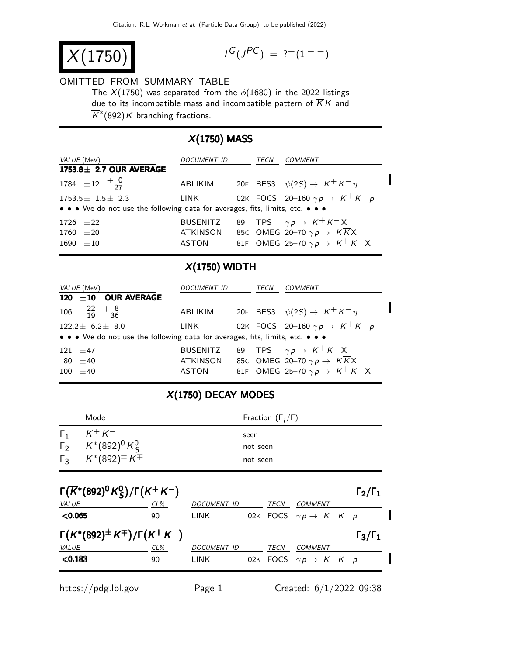$$
X(1750)
$$

$$
I^G(J^{PC}) = ?^-(1^{--})
$$

#### OMITTED FROM SUMMARY TABLE

The  $X(1750)$  was separated from the  $\phi(1680)$  in the 2022 listings due to its incompatible mass and incompatible pattern of  $\overline{K}K$  and  $\overline{K}^*(892)K$  branching fractions.

# X(1750) MASS

| <i>VALUE</i> (MeV)                                                                                        | <i>DOCUMENT ID</i>                   | TECN | <i>COMMENT</i>                                                                                                                     |
|-----------------------------------------------------------------------------------------------------------|--------------------------------------|------|------------------------------------------------------------------------------------------------------------------------------------|
| $1753.8 \pm 2.7$ OUR AVERAGE                                                                              |                                      |      |                                                                                                                                    |
| 1784 $\pm 12 + \frac{0}{27}$                                                                              |                                      |      | ABLIKIM 20F BES3 $\psi(2S) \rightarrow K^+ K^- \eta$                                                                               |
| $1753.5 \pm 1.5 \pm 2.3$<br>• • • We do not use the following data for averages, fits, limits, etc. • • • | LINK                                 |      | 02K FOCS 20-160 $\gamma p \rightarrow K^+ K^- p$                                                                                   |
| 1726 $\pm 22$<br>$1760 \pm 20$<br>$1690 \pm 10$                                                           | <b>BUSENITZ</b><br>ATKINSON<br>ASTON |      | 89 TPS $\gamma p \to K^+ K^- X$<br>85C OMEG 20-70 $\gamma p \to K\overline{K}X$<br>81F OMEG 25-70 $\gamma p \rightarrow K^+ K^- X$ |

### X(1750) WIDTH

| <i>VALUE</i> (MeV)                                                            | <i>DOCUMENT ID</i> |  | TECN | COMMENT                                                                                                                                     |  |
|-------------------------------------------------------------------------------|--------------------|--|------|---------------------------------------------------------------------------------------------------------------------------------------------|--|
| 120 ±10 OUR AVERAGE                                                           |                    |  |      |                                                                                                                                             |  |
| $106 + 22 + 8$<br>-19 -36                                                     |                    |  |      | ABLIKIM 20F BES3 $\psi(2S) \rightarrow K^+ K^- \eta$                                                                                        |  |
| $122.2 \pm 6.2 \pm 8.0$                                                       | LINK               |  |      | 02K FOCS 20-160 $\gamma p \rightarrow K^+ K^- p$                                                                                            |  |
| • • • We do not use the following data for averages, fits, limits, etc. • • • |                    |  |      |                                                                                                                                             |  |
| $121 + 47$<br>80 $\pm 40$<br>$100 \pm 40$                                     | ATKINSON<br>ASTON  |  |      | BUSENITZ 89 TPS $\gamma p \to K^+ K^- X$<br>85C OMEG 20-70 $\gamma p \to K\overline{K}X$<br>81F OMEG 25-70 $\gamma p \rightarrow K^+ K^- X$ |  |

### X(1750) DECAY MODES

|            | Mode                                                                                                                                | Fraction $(\Gamma_i/\Gamma)$ |
|------------|-------------------------------------------------------------------------------------------------------------------------------------|------------------------------|
| $\Gamma_1$ | $K^+ K^-$<br>$\begin{array}{ccc} \n\Gamma_2 & \overline{K}^*(892)^0 & K_S^0 \\ \n\Gamma_3 & K^*(892)^{\pm} & K^{\mp} \n\end{array}$ | seen<br>not seen<br>not seen |

| $\Gamma(\overline{K}^*(892)^0 K^0_S)/\Gamma(K^+ K^-)$ |        |                    |      | $\Gamma_2/\Gamma_1$                       |  |
|-------------------------------------------------------|--------|--------------------|------|-------------------------------------------|--|
| VALUE                                                 | $CL\%$ | <b>DOCUMENT ID</b> | TECN | <b>COMMENT</b>                            |  |
| < 0.065                                               | 90     | <b>LINK</b>        |      | 02K FOCS $\gamma p \rightarrow K^+ K^- p$ |  |
| $\Gamma(K^*(892)^{\pm}K^{\mp})/\Gamma(K^+K^-)$        |        |                    |      | $\Gamma_3/\Gamma_1$                       |  |
| VALUE                                                 | $CL\%$ | <b>DOCUMENT ID</b> | TECN | <b>COMMENT</b>                            |  |
| < 0.183                                               | 90     | <b>LINK</b>        |      | 02K FOCS $\gamma p \rightarrow K^+ K^- p$ |  |
|                                                       |        |                    |      |                                           |  |

https://pdg.lbl.gov Page 1 Created: 6/1/2022 09:38